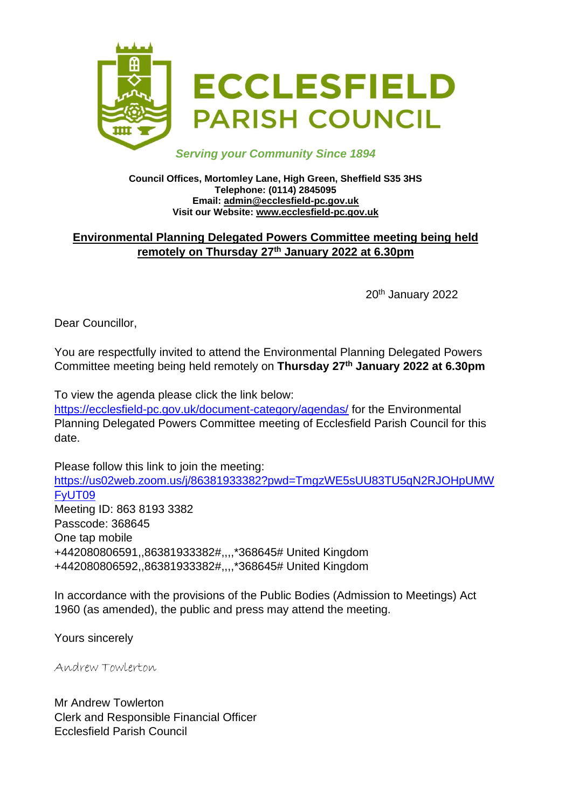

### *Serving your Community Since 1894*

#### **Council Offices, Mortomley Lane, High Green, Sheffield S35 3HS Telephone: (0114) 2845095 Email: admin@ecclesfield-pc.gov.uk Visit our Website: www.ecclesfield-pc.gov.uk**

## **Environmental Planning Delegated Powers Committee meeting being held remotely on Thursday 27th January 2022 at 6.30pm**

20th January 2022

Dear Councillor,

You are respectfully invited to attend the Environmental Planning Delegated Powers Committee meeting being held remotely on **Thursday 27th January 2022 at 6.30pm**

To view the agenda please click the link below:

<https://ecclesfield-pc.gov.uk/document-category/agendas/> for the Environmental Planning Delegated Powers Committee meeting of Ecclesfield Parish Council for this date.

Please follow this link to join the meeting: [https://us02web.zoom.us/j/86381933382?pwd=TmgzWE5sUU83TU5qN2RJOHpUMW](https://us02web.zoom.us/j/86381933382?pwd=TmgzWE5sUU83TU5qN2RJOHpUMWFyUT09) [FyUT09](https://us02web.zoom.us/j/86381933382?pwd=TmgzWE5sUU83TU5qN2RJOHpUMWFyUT09) Meeting ID: 863 8193 3382 Passcode: 368645 One tap mobile +442080806591,,86381933382#,,,,\*368645# United Kingdom +442080806592,,86381933382#,,,,\*368645# United Kingdom

In accordance with the provisions of the Public Bodies (Admission to Meetings) Act 1960 (as amended), the public and press may attend the meeting.

Yours sincerely

Andrew Towlerton

Mr Andrew Towlerton Clerk and Responsible Financial Officer Ecclesfield Parish Council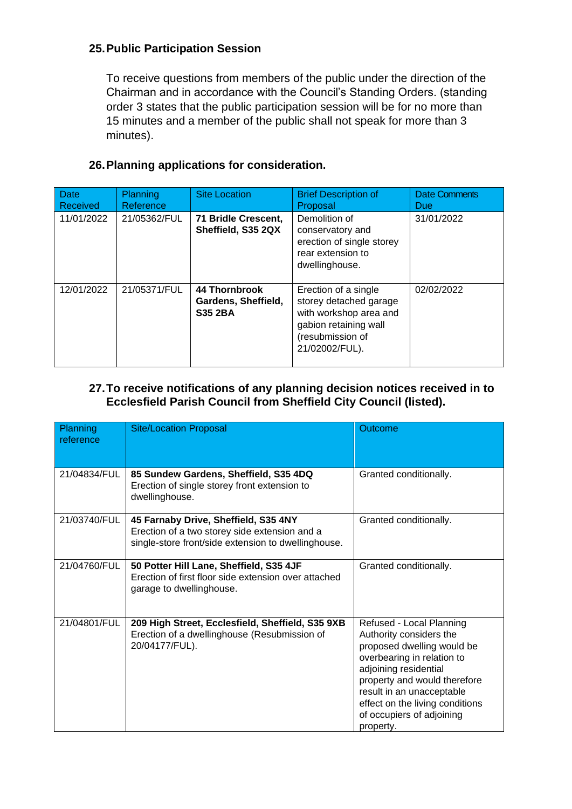## **25.Public Participation Session**

To receive questions from members of the public under the direction of the Chairman and in accordance with the Council's Standing Orders. (standing order 3 states that the public participation session will be for no more than 15 minutes and a member of the public shall not speak for more than 3 minutes).

| Date<br>Received | <b>Planning</b><br>Reference | <b>Site Location</b>                                          | <b>Brief Description of</b><br>Proposal                                                                                                 | Date Comments<br><b>Due</b> |
|------------------|------------------------------|---------------------------------------------------------------|-----------------------------------------------------------------------------------------------------------------------------------------|-----------------------------|
| 11/01/2022       | 21/05362/FUL                 | 71 Bridle Crescent,<br>Sheffield, S35 2QX                     | Demolition of<br>conservatory and<br>erection of single storey<br>rear extension to<br>dwellinghouse.                                   | 31/01/2022                  |
| 12/01/2022       | 21/05371/FUL                 | <b>44 Thornbrook</b><br>Gardens, Sheffield,<br><b>S35 2BA</b> | Erection of a single<br>storey detached garage<br>with workshop area and<br>gabion retaining wall<br>(resubmission of<br>21/02002/FUL). | 02/02/2022                  |

# **26.Planning applications for consideration.**

#### **27.To receive notifications of any planning decision notices received in to Ecclesfield Parish Council from Sheffield City Council (listed).**

| Planning<br>reference | <b>Site/Location Proposal</b>                                                                                                                | Outcome                                                                                                                                                                                                                                                                            |
|-----------------------|----------------------------------------------------------------------------------------------------------------------------------------------|------------------------------------------------------------------------------------------------------------------------------------------------------------------------------------------------------------------------------------------------------------------------------------|
| 21/04834/FUL          | 85 Sundew Gardens, Sheffield, S35 4DQ<br>Erection of single storey front extension to<br>dwellinghouse.                                      | Granted conditionally.                                                                                                                                                                                                                                                             |
| 21/03740/FUL          | 45 Farnaby Drive, Sheffield, S35 4NY<br>Erection of a two storey side extension and a<br>single-store front/side extension to dwellinghouse. | Granted conditionally.                                                                                                                                                                                                                                                             |
| 21/04760/FUL          | 50 Potter Hill Lane, Sheffield, S35 4JF<br>Erection of first floor side extension over attached<br>garage to dwellinghouse.                  | Granted conditionally.                                                                                                                                                                                                                                                             |
| 21/04801/FUL          | 209 High Street, Ecclesfield, Sheffield, S35 9XB<br>Erection of a dwellinghouse (Resubmission of<br>20/04177/FUL).                           | Refused - Local Planning<br>Authority considers the<br>proposed dwelling would be<br>overbearing in relation to<br>adjoining residential<br>property and would therefore<br>result in an unacceptable<br>effect on the living conditions<br>of occupiers of adjoining<br>property. |